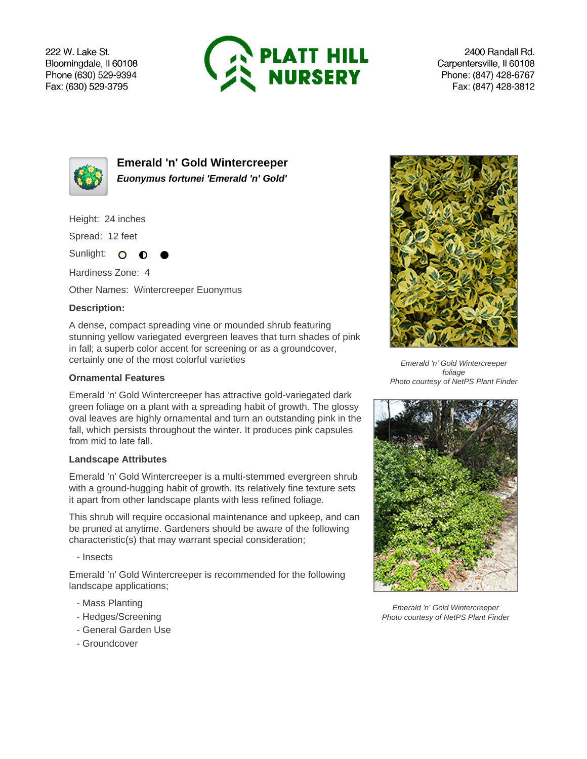222 W. Lake St. Bloomingdale, Il 60108 Phone (630) 529-9394 Fax: (630) 529-3795



2400 Randall Rd. Carpentersville, Il 60108 Phone: (847) 428-6767 Fax: (847) 428-3812



**Emerald 'n' Gold Wintercreeper Euonymus fortunei 'Emerald 'n' Gold'**

Height: 24 inches

Spread: 12 feet

Sunlight: O  $\bullet$ 

Hardiness Zone: 4

Other Names: Wintercreeper Euonymus

## **Description:**

A dense, compact spreading vine or mounded shrub featuring stunning yellow variegated evergreen leaves that turn shades of pink in fall; a superb color accent for screening or as a groundcover, certainly one of the most colorful varieties

## **Ornamental Features**

Emerald 'n' Gold Wintercreeper has attractive gold-variegated dark green foliage on a plant with a spreading habit of growth. The glossy oval leaves are highly ornamental and turn an outstanding pink in the fall, which persists throughout the winter. It produces pink capsules from mid to late fall.

## **Landscape Attributes**

Emerald 'n' Gold Wintercreeper is a multi-stemmed evergreen shrub with a ground-hugging habit of growth. Its relatively fine texture sets it apart from other landscape plants with less refined foliage.

This shrub will require occasional maintenance and upkeep, and can be pruned at anytime. Gardeners should be aware of the following characteristic(s) that may warrant special consideration;

- Insects

Emerald 'n' Gold Wintercreeper is recommended for the following landscape applications;

- Mass Planting
- Hedges/Screening
- General Garden Use
- Groundcover



Emerald 'n' Gold Wintercreeper foliage Photo courtesy of NetPS Plant Finder



Emerald 'n' Gold Wintercreeper Photo courtesy of NetPS Plant Finder